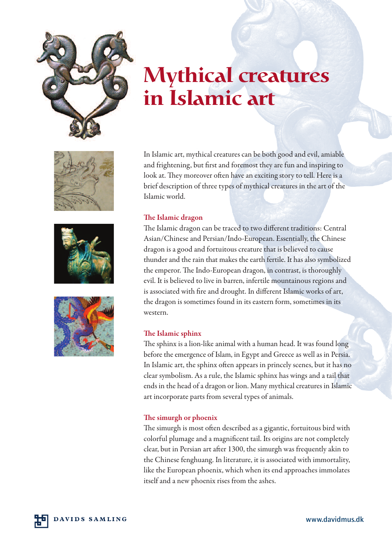

# **Mythical creatures in Islamic art**







In Islamic art, mythical creatures can be both good and evil, amiable and frightening, but first and foremost they are fun and inspiring to look at. They moreover often have an exciting story to tell. Here is a brief description of three types of mythical creatures in the art of the Islamic world.

## **e Islamic dragon**

The Islamic dragon can be traced to two different traditions: Central Asian/Chinese and Persian/Indo-European. Essentially, the Chinese dragon is a good and fortuitous creature that is believed to cause thunder and the rain that makes the earth fertile. It has also symbolized the emperor. The Indo-European dragon, in contrast, is thoroughly evil. It is believed to live in barren, infertile mountainous regions and is associated with fire and drought. In different Islamic works of art, the dragon is sometimes found in its eastern form, sometimes in its western.

## **e Islamic sphinx**

The sphinx is a lion-like animal with a human head. It was found long before the emergence of Islam, in Egypt and Greece as well as in Persia. In Islamic art, the sphinx often appears in princely scenes, but it has no clear symbolism. As a rule, the Islamic sphinx has wings and a tail that ends in the head of a dragon or lion. Many mythical creatures in Islamic art incorporate parts from several types of animals.

### **e simurgh or phoenix**

The simurgh is most often described as a gigantic, fortuitous bird with colorful plumage and a magnificent tail. Its origins are not completely clear, but in Persian art after 1300, the simurgh was frequently akin to the Chinese fenghuang. In literature, it is associated with immortality, like the European phoenix, which when its end approaches immolates itself and a new phoenix rises from the ashes.